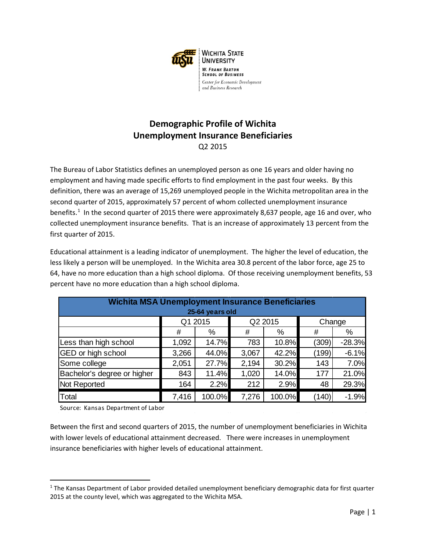

## **Demographic Profile of Wichita Unemployment Insurance Beneficiaries** Q2 2015

The Bureau of Labor Statistics defines an unemployed person as one 16 years and older having no employment and having made specific efforts to find employment in the past four weeks. By this definition, there was an average of 15,269 unemployed people in the Wichita metropolitan area in the second quarter of 2015, approximately 57 percent of whom collected unemployment insurance benefits.<sup>[1](#page-0-0)</sup> In the second quarter of 2015 there were approximately 8,637 people, age 16 and over, who collected unemployment insurance benefits. That is an increase of approximately 13 percent from the first quarter of 2015.

Educational attainment is a leading indicator of unemployment. The higher the level of education, the less likely a person will be unemployed. In the Wichita area 30.8 percent of the labor force, age 25 to 64, have no more education than a high school diploma. Of those receiving unemployment benefits, 53 percent have no more education than a high school diploma.

| <b>Wichita MSA Unemployment Insurance Beneficiaries</b><br>25-64 years old |         |        |         |        |        |          |  |  |
|----------------------------------------------------------------------------|---------|--------|---------|--------|--------|----------|--|--|
|                                                                            | Q1 2015 |        | Q2 2015 |        | Change |          |  |  |
|                                                                            | #       | %      | #       | %      | #      | %        |  |  |
| Less than high school                                                      | 1,092   | 14.7%  | 783     | 10.8%  | (309)  | $-28.3%$ |  |  |
| GED or high school                                                         | 3,266   | 44.0%  | 3,067   | 42.2%  | (199)  | $-6.1%$  |  |  |
| Some college                                                               | 2,051   | 27.7%  | 2,194   | 30.2%  | 143    | 7.0%     |  |  |
| Bachelor's degree or higher                                                | 843     | 11.4%  | 1,020   | 14.0%  | 177    | 21.0%    |  |  |
| Not Reported                                                               | 164     | 2.2%   | 212     | 2.9%   | 48     | 29.3%    |  |  |
| Total                                                                      | 7,416   | 100.0% | 7,276   | 100.0% | (140)  | $-1.9%$  |  |  |

Source: Kansas Department of Labor

 $\overline{\phantom{a}}$ 

Between the first and second quarters of 2015, the number of unemployment beneficiaries in Wichita with lower levels of educational attainment decreased. There were increases in unemployment insurance beneficiaries with higher levels of educational attainment.

<span id="page-0-0"></span><sup>1</sup> The Kansas Department of Labor provided detailed unemployment beneficiary demographic data for first quarter 2015 at the county level, which was aggregated to the Wichita MSA.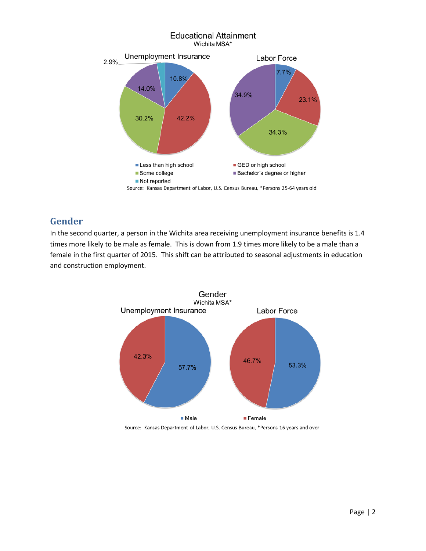

## **Gender**

In the second quarter, a person in the Wichita area receiving unemployment insurance benefits is 1.4 times more likely to be male as female. This is down from 1.9 times more likely to be a male than a female in the first quarter of 2015. This shift can be attributed to seasonal adjustments in education and construction employment.



Source: Kansas Department of Labor, U.S. Census Bureau, \*Persons 16 years and over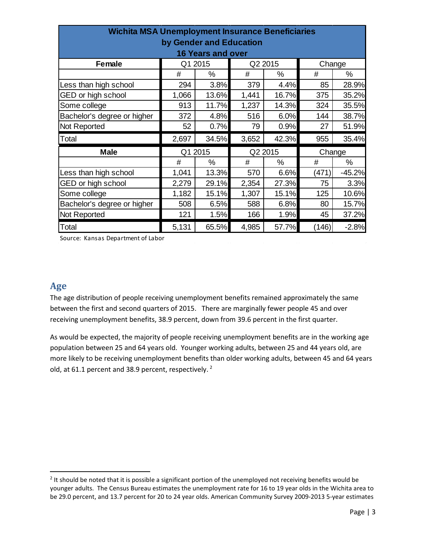| <b>Wichita MSA Unemployment Insurance Beneficiaries</b> |         |         |         |       |        |                           |  |  |
|---------------------------------------------------------|---------|---------|---------|-------|--------|---------------------------|--|--|
| by Gender and Education                                 |         |         |         |       |        |                           |  |  |
| <b>16 Years and over</b>                                |         |         |         |       |        |                           |  |  |
| <b>Female</b>                                           | Q1 2015 |         | Q2 2015 |       | Change |                           |  |  |
|                                                         | #       | %       | #       | $\%$  | #      | $\%$                      |  |  |
| Less than high school                                   | 294     | 3.8%    | 379     | 4.4%  | 85     | 28.9%                     |  |  |
| GED or high school                                      | 1,066   | 13.6%   | 1,441   | 16.7% | 375    | 35.2%                     |  |  |
| Some college                                            | 913     | 11.7%   | 1,237   | 14.3% | 324    | 35.5%                     |  |  |
| Bachelor's degree or higher                             | 372     | 4.8%    | 516     | 6.0%  | 144    | 38.7%                     |  |  |
| Not Reported                                            | 52      | 0.7%    | 79      | 0.9%  | 27     | 51.9%                     |  |  |
|                                                         |         |         |         |       |        |                           |  |  |
| Total                                                   | 2,697   | 34.5%   | 3,652   | 42.3% | 955    |                           |  |  |
| <b>Male</b>                                             |         | Q1 2015 | Q2 2015 |       | Change |                           |  |  |
|                                                         | #       | %       | #       | %     | #      | %                         |  |  |
| Less than high school                                   | 1,041   | 13.3%   | 570     | 6.6%  | (471)  |                           |  |  |
| GED or high school                                      | 2,279   | 29.1%   | 2,354   | 27.3% | 75     | 35.4%<br>$-45.2%$<br>3.3% |  |  |
| Some college                                            | 1,182   | 15.1%   | 1,307   | 15.1% | 125    | 10.6%                     |  |  |
| Bachelor's degree or higher                             | 508     | 6.5%    | 588     | 6.8%  | 80     | 15.7%                     |  |  |
| Not Reported                                            | 121     | 1.5%    | 166     | 1.9%  | 45     | 37.2%                     |  |  |

Source: Kansas Department of Labor

### **Age**

 $\overline{a}$ 

The age distribution of people receiving unemployment benefits remained approximately the same between the first and second quarters of 2015. There are marginally fewer people 45 and over receiving unemployment benefits, 38.9 percent, down from 39.6 percent in the first quarter.

As would be expected, the majority of people receiving unemployment benefits are in the working age population between 25 and 64 years old. Younger working adults, between 25 and 44 years old, are more likely to be receiving unemployment benefits than older working adults, between 45 and 64 years old, at 61.1 percent and 38.9 percent, respectively.<sup>[2](#page-2-0)</sup>

<span id="page-2-0"></span> $2$  It should be noted that it is possible a significant portion of the unemployed not receiving benefits would be younger adults. The Census Bureau estimates the unemployment rate for 16 to 19 year olds in the Wichita area to be 29.0 percent, and 13.7 percent for 20 to 24 year olds. American Community Survey 2009-2013 5-year estimates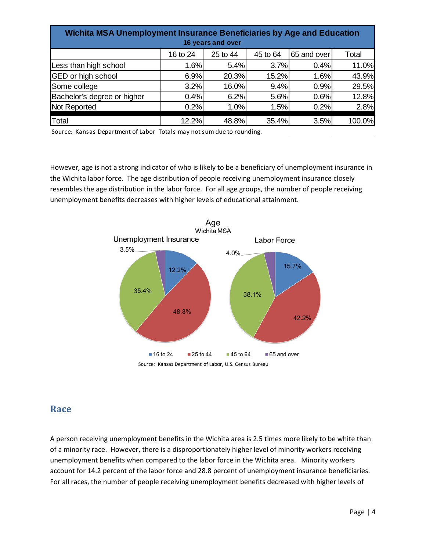| Wichita MSA Unemployment Insurance Beneficiaries by Age and Education<br>16 years and over |          |          |          |             |        |  |  |
|--------------------------------------------------------------------------------------------|----------|----------|----------|-------------|--------|--|--|
|                                                                                            | 16 to 24 | 25 to 44 | 45 to 64 | 65 and over | Total  |  |  |
| Less than high school                                                                      | 1.6%     | 5.4%     | 3.7%     | 0.4%        | 11.0%  |  |  |
| GED or high school                                                                         | 6.9%     | 20.3%    | 15.2%    | 1.6%        | 43.9%  |  |  |
| Some college                                                                               | 3.2%     | 16.0%    | 9.4%     | 0.9%        | 29.5%  |  |  |
| Bachelor's degree or higher                                                                | 0.4%     | 6.2%     | 5.6%     | 0.6%        | 12.8%  |  |  |
| Not Reported                                                                               | 0.2%     | 1.0%     | 1.5%     | 0.2%        | 2.8%   |  |  |
| Total                                                                                      | 12.2%    | 48.8%    | 35.4%    | 3.5%        | 100.0% |  |  |

Source: Kansas Department of Labor Totals may not sum due to rounding.

However, age is not a strong indicator of who is likely to be a beneficiary of unemployment insurance in the Wichita labor force. The age distribution of people receiving unemployment insurance closely resembles the age distribution in the labor force. For all age groups, the number of people receiving unemployment benefits decreases with higher levels of educational attainment.



Source: Kansas Department of Labor, U.S. Census Bureau

#### **Race**

A person receiving unemployment benefits in the Wichita area is 2.5 times more likely to be white than of a minority race. However, there is a disproportionately higher level of minority workers receiving unemployment benefits when compared to the labor force in the Wichita area. Minority workers account for 14.2 percent of the labor force and 28.8 percent of unemployment insurance beneficiaries. For all races, the number of people receiving unemployment benefits decreased with higher levels of